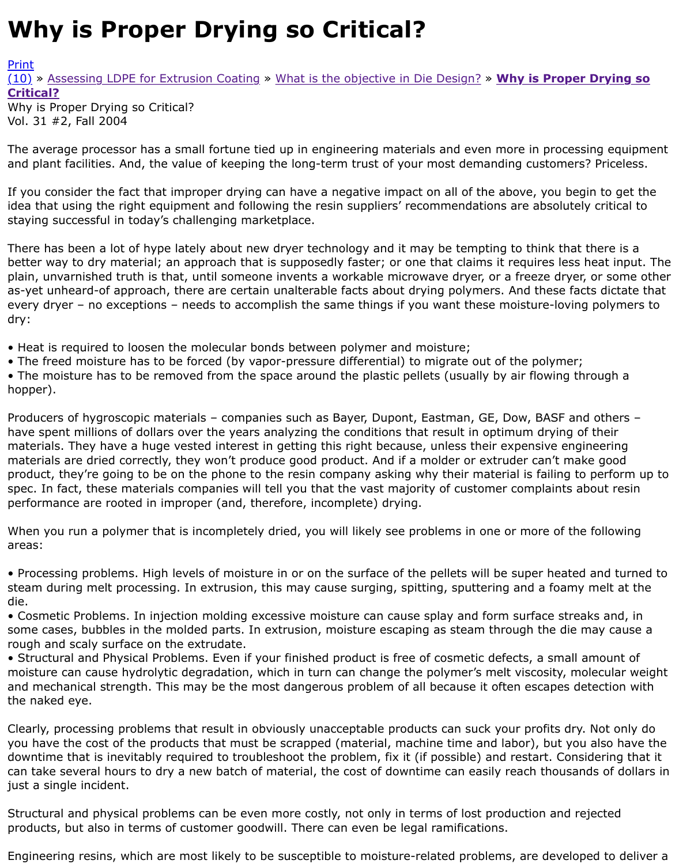Vol. 31 #2, Fall 2004

The average processor has a small fortune tied up in engineering materials and even more in proces and plant facilities. And, the value of keeping the long-term trust of your most demanding customer

[If yo](http://extrusionwiki.com/wiki/CC-V31-2-H.ashx#)[u](http://extrusionwiki.com/wiki/Print.aspx?Page=CC-V31-2-H) [consider the fact that improper drying](http://extrusionwiki.com/wiki/CC-V31-2-E.ashx) c[an have a negative impact on all of t](http://extrusionwiki.com/wiki/CC-V31-2-G.ashx)he above, you be idea that using the right equipment and following the resin suppliers' recommendations are absolute staying successful in today's challenging marketplace.

There has been a lot of hype lately about new dryer technology and it may be tempting to think that better way to dry material; an approach that is supposedly faster; or one that claims it requires less plain, unvarnished truth is that, until someone invents a workable microwave dryer, or a freeze drye as-yet unheard-of approach, there are certain unalterable facts about drying polymers. And these fa every dryer – no exceptions – needs to accomplish the same things if you want these moisture-lovin dry:

- Heat is required to loosen the molecular bonds between polymer and moisture;
- The freed moisture has to be forced (by vapor-pressure differential) to migrate out of the polymer • The moisture has to be removed from the space around the plastic pellets (usually by air flowing t

hopper).

Producers of hygroscopic materials – companies such as Bayer, Dupont, Eastman, GE, Dow, BASF a have spent millions of dollars over the years analyzing the conditions that result in optimum drying materials. They have a huge vested interest in getting this right because, unless their expensive en materials are dried correctly, they won't produce good product. And if a molder or extruder can't ma product, they're going to be on the phone to the resin company asking why their material is failing to spec. In fact, these materials companies will tell you that the vast majority of customer complaints performance are rooted in improper (and, therefore, incomplete) drying.

When you run a polymer that is incompletely dried, you will likely see problems in one or more of th areas:

• Processing problems. High levels of moisture in or on the surface of the pellets will be super heate steam during melt processing. In extrusion, this may cause surging, spitting, sputtering and a foam die.

• Cosmetic Problems. In injection molding excessive moisture can cause splay and form surface stre some cases, bubbles in the molded parts. In extrusion, moisture escaping as steam through the die rough and scaly surface on the extrudate.

• Structural and Physical Problems. Even if your finished product is free of cosmetic defects, a small moisture can cause hydrolytic degradation, which in turn can change the polymer's melt viscosity, n and mechanical strength. This may be the most dangerous problem of all because it often escapes d the naked eye.

Clearly, processing problems that result in obviously unacceptable products can suck your profits dr you have the cost of the products that must be scrapped (material, machine time and labor), but you downtime that is inevitably required to troubleshoot the problem, fix it (if possible) and restart. Con can take several hours to dry a new batch of material, the cost of downtime can easily reach thousa just a single incident.

Structural and physical problems can be even more costly, not only in terms of lost production and r products, but also in terms of customer goodwill. There can even be legal ramifications.

Engineering resins, which are most likely to be susceptible to moisture-related problems, are develd